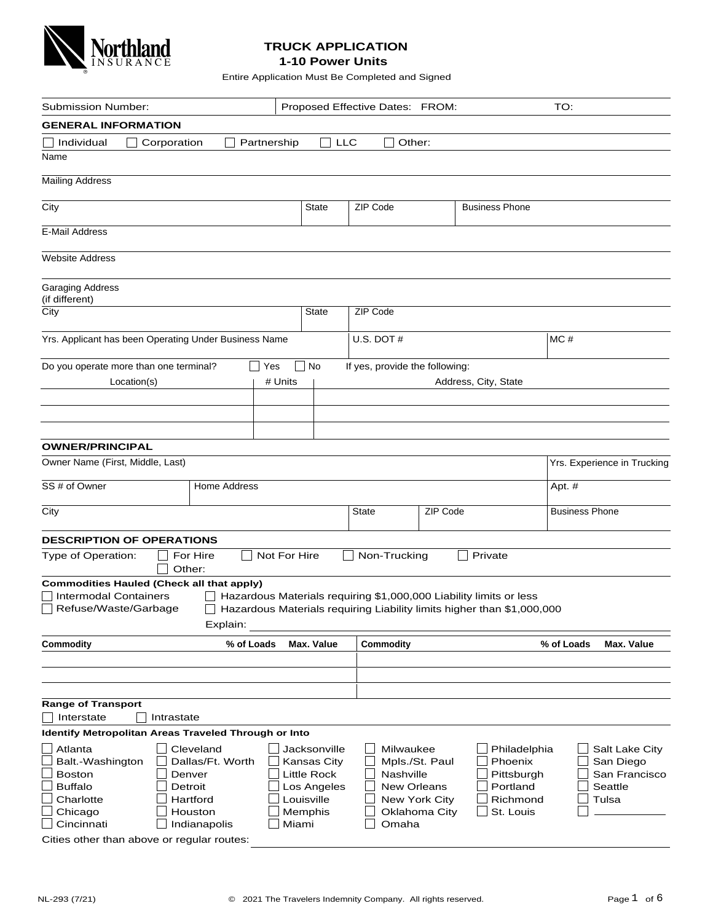

## **TRUCK APPLICATION 1-10 Power Units**

Entire Application Must Be Completed and Signed

| Submission Number:                                                               |                     |                     |              |                           | Proposed Effective Dates: FROM: |                                |                                                                        | TO:                         |  |
|----------------------------------------------------------------------------------|---------------------|---------------------|--------------|---------------------------|---------------------------------|--------------------------------|------------------------------------------------------------------------|-----------------------------|--|
| <b>GENERAL INFORMATION</b>                                                       |                     |                     |              |                           |                                 |                                |                                                                        |                             |  |
| Individual                                                                       | Corporation         |                     | Partnership  | $ $ LLC                   | Other:                          |                                |                                                                        |                             |  |
| Name                                                                             |                     |                     |              |                           |                                 |                                |                                                                        |                             |  |
| <b>Mailing Address</b>                                                           |                     |                     |              |                           |                                 |                                |                                                                        |                             |  |
|                                                                                  |                     |                     |              |                           |                                 |                                |                                                                        |                             |  |
| City                                                                             |                     |                     |              | <b>State</b>              | ZIP Code                        |                                | <b>Business Phone</b>                                                  |                             |  |
| E-Mail Address                                                                   |                     |                     |              |                           |                                 |                                |                                                                        |                             |  |
|                                                                                  |                     |                     |              |                           |                                 |                                |                                                                        |                             |  |
| <b>Website Address</b>                                                           |                     |                     |              |                           |                                 |                                |                                                                        |                             |  |
|                                                                                  |                     |                     |              |                           |                                 |                                |                                                                        |                             |  |
| <b>Garaging Address</b>                                                          |                     |                     |              |                           |                                 |                                |                                                                        |                             |  |
| (if different)                                                                   |                     |                     |              |                           |                                 |                                |                                                                        |                             |  |
| City                                                                             |                     |                     |              | State                     | ZIP Code                        |                                |                                                                        |                             |  |
| Yrs. Applicant has been Operating Under Business Name                            |                     |                     |              |                           | U.S. DOT #                      |                                |                                                                        | MC#                         |  |
|                                                                                  |                     |                     |              |                           |                                 |                                |                                                                        |                             |  |
| Do you operate more than one terminal?                                           |                     |                     | Yes          | No                        | If yes, provide the following:  |                                |                                                                        |                             |  |
| Location(s)                                                                      |                     |                     | # Units      |                           |                                 |                                | Address, City, State                                                   |                             |  |
|                                                                                  |                     |                     |              |                           |                                 |                                |                                                                        |                             |  |
|                                                                                  |                     |                     |              |                           |                                 |                                |                                                                        |                             |  |
|                                                                                  |                     |                     |              |                           |                                 |                                |                                                                        |                             |  |
| <b>OWNER/PRINCIPAL</b>                                                           |                     |                     |              |                           |                                 |                                |                                                                        |                             |  |
| Owner Name (First, Middle, Last)                                                 |                     |                     |              |                           |                                 |                                |                                                                        | Yrs. Experience in Trucking |  |
|                                                                                  |                     |                     |              |                           |                                 |                                |                                                                        |                             |  |
| SS # of Owner                                                                    |                     | <b>Home Address</b> |              |                           |                                 |                                |                                                                        | Apt. $#$                    |  |
| City                                                                             |                     |                     |              |                           | <b>State</b>                    | ZIP Code                       |                                                                        | <b>Business Phone</b>       |  |
|                                                                                  |                     |                     |              |                           |                                 |                                |                                                                        |                             |  |
| <b>DESCRIPTION OF OPERATIONS</b>                                                 |                     |                     |              |                           |                                 |                                |                                                                        |                             |  |
| Type of Operation:                                                               | For Hire            |                     | Not For Hire |                           | Non-Trucking                    |                                | Private                                                                |                             |  |
|                                                                                  | Other:              |                     |              |                           |                                 |                                |                                                                        |                             |  |
| <b>Commodities Hauled (Check all that apply)</b><br><b>Intermodal Containers</b> |                     |                     |              |                           |                                 |                                | Hazardous Materials requiring \$1,000,000 Liability limits or less     |                             |  |
| Refuse/Waste/Garbage                                                             |                     |                     |              |                           |                                 |                                | Hazardous Materials requiring Liability limits higher than \$1,000,000 |                             |  |
|                                                                                  |                     | Explain:            |              |                           |                                 |                                |                                                                        |                             |  |
| Commodity                                                                        |                     | % of Loads          |              | Max. Value                | <b>Commodity</b>                |                                |                                                                        | % of Loads<br>Max. Value    |  |
|                                                                                  |                     |                     |              |                           |                                 |                                |                                                                        |                             |  |
|                                                                                  |                     |                     |              |                           |                                 |                                |                                                                        |                             |  |
|                                                                                  |                     |                     |              |                           |                                 |                                |                                                                        |                             |  |
| <b>Range of Transport</b>                                                        |                     |                     |              |                           |                                 |                                |                                                                        |                             |  |
| Interstate                                                                       | Intrastate          |                     |              |                           |                                 |                                |                                                                        |                             |  |
| Identify Metropolitan Areas Traveled Through or Into                             |                     |                     |              |                           |                                 |                                |                                                                        |                             |  |
| Atlanta                                                                          | Cleveland           |                     |              | Jacksonville              | Milwaukee                       |                                | Philadelphia                                                           | Salt Lake City              |  |
| Balt.-Washington                                                                 | Dallas/Ft. Worth    |                     |              | Kansas City               |                                 | Mpls./St. Paul                 | Phoenix                                                                | San Diego                   |  |
| <b>Boston</b>                                                                    | Denver              |                     |              | Little Rock               | Nashville                       |                                | Pittsburgh                                                             | San Francisco               |  |
| <b>Buffalo</b><br>Charlotte                                                      | Detroit<br>Hartford |                     |              | Los Angeles<br>Louisville | <b>New Orleans</b>              |                                | Portland<br>Richmond                                                   | Seattle<br>Tulsa            |  |
| Chicago                                                                          | Houston             |                     |              | Memphis                   |                                 | New York City<br>Oklahoma City | St. Louis                                                              |                             |  |
| Cincinnati                                                                       | Indianapolis        |                     | Miami        |                           | Omaha                           |                                |                                                                        |                             |  |
| Cities other than above or regular routes:                                       |                     |                     |              |                           |                                 |                                |                                                                        |                             |  |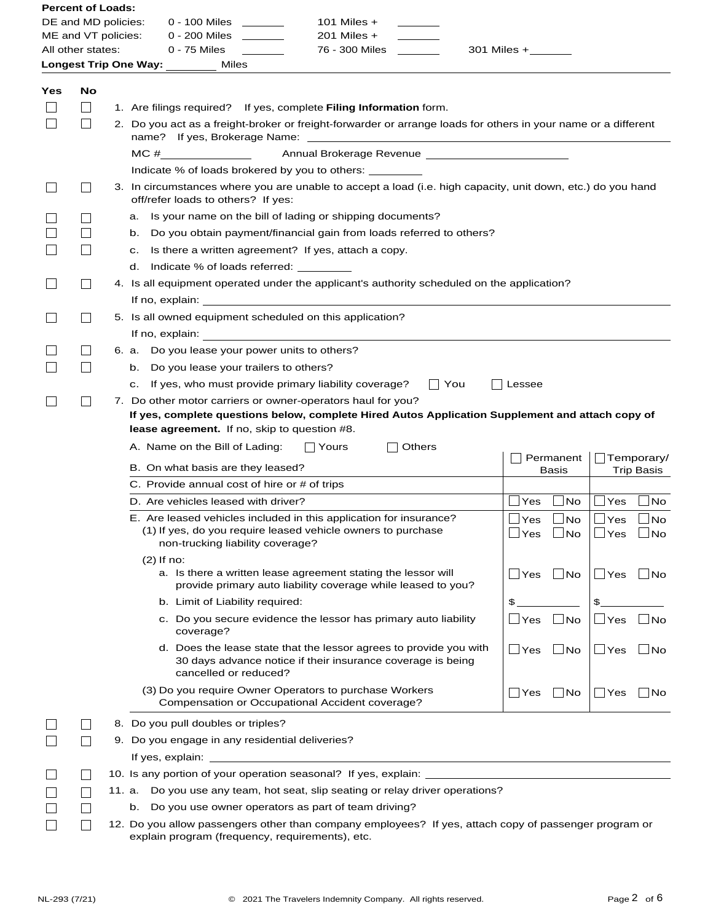| <b>Percent of Loads:</b>                                                                          |                         |  |                                                                                                                                                                                                                                                                                                                                    |                            |                    |                                           |                                        |
|---------------------------------------------------------------------------------------------------|-------------------------|--|------------------------------------------------------------------------------------------------------------------------------------------------------------------------------------------------------------------------------------------------------------------------------------------------------------------------------------|----------------------------|--------------------|-------------------------------------------|----------------------------------------|
| DE and MD policies:                                                                               |                         |  | 0 - 100 Miles<br>101 Miles $+$                                                                                                                                                                                                                                                                                                     |                            |                    |                                           |                                        |
| ME and VT policies:                                                                               |                         |  | $201$ Miles $+$<br>0 - 200 Miles ________                                                                                                                                                                                                                                                                                          |                            |                    |                                           |                                        |
| 0 - 75 Miles<br>76 - 300 Miles<br>All other states:<br>$301$ Miles + $\_\_\_\_\_\_\_\_\_\_\_\_\_$ |                         |  |                                                                                                                                                                                                                                                                                                                                    |                            |                    |                                           |                                        |
|                                                                                                   |                         |  | Longest Trip One Way: _______<br>Miles                                                                                                                                                                                                                                                                                             |                            |                    |                                           |                                        |
| Yes                                                                                               | No<br>$\vert \ \ \vert$ |  | 1. Are filings required? If yes, complete Filing Information form.                                                                                                                                                                                                                                                                 |                            |                    |                                           |                                        |
|                                                                                                   | $\vert \ \ \vert$       |  | 2. Do you act as a freight-broker or freight-forwarder or arrange loads for others in your name or a different                                                                                                                                                                                                                     |                            |                    |                                           |                                        |
|                                                                                                   |                         |  | $MC \#$                                                                                                                                                                                                                                                                                                                            |                            |                    |                                           |                                        |
|                                                                                                   |                         |  | Indicate % of loads brokered by you to others:                                                                                                                                                                                                                                                                                     |                            |                    |                                           |                                        |
|                                                                                                   | $\vert \ \ \vert$       |  | 3. In circumstances where you are unable to accept a load (i.e. high capacity, unit down, etc.) do you hand<br>off/refer loads to others? If yes:                                                                                                                                                                                  |                            |                    |                                           |                                        |
|                                                                                                   |                         |  | Is your name on the bill of lading or shipping documents?<br>a.                                                                                                                                                                                                                                                                    |                            |                    |                                           |                                        |
|                                                                                                   |                         |  | b. Do you obtain payment/financial gain from loads referred to others?                                                                                                                                                                                                                                                             |                            |                    |                                           |                                        |
|                                                                                                   | $\Box$                  |  | Is there a written agreement? If yes, attach a copy.<br>C.                                                                                                                                                                                                                                                                         |                            |                    |                                           |                                        |
|                                                                                                   |                         |  | d. Indicate % of loads referred: __________                                                                                                                                                                                                                                                                                        |                            |                    |                                           |                                        |
|                                                                                                   | $\Box$                  |  | 4. Is all equipment operated under the applicant's authority scheduled on the application?<br>If no, explain: <u>substantial and the set of the set of the set of the set of the set of the set of the set of the set of the set of the set of the set of the set of the set of the set of the set of the set of the set of th</u> |                            |                    |                                           |                                        |
|                                                                                                   |                         |  | 5. Is all owned equipment scheduled on this application?                                                                                                                                                                                                                                                                           |                            |                    |                                           |                                        |
|                                                                                                   |                         |  | If no, explain:                                                                                                                                                                                                                                                                                                                    |                            |                    |                                           |                                        |
|                                                                                                   | $\mathsf{L}$            |  | 6. a. Do you lease your power units to others?                                                                                                                                                                                                                                                                                     |                            |                    |                                           |                                        |
|                                                                                                   | $\vert \ \ \vert$       |  | b. Do you lease your trailers to others?                                                                                                                                                                                                                                                                                           |                            |                    |                                           |                                        |
|                                                                                                   |                         |  | If yes, who must provide primary liability coverage?<br>∣∣You<br>C.                                                                                                                                                                                                                                                                | Lessee                     |                    |                                           |                                        |
|                                                                                                   |                         |  | 7. Do other motor carriers or owner-operators haul for you?<br>If yes, complete questions below, complete Hired Autos Application Supplement and attach copy of<br>lease agreement. If no, skip to question #8.                                                                                                                    |                            |                    |                                           |                                        |
|                                                                                                   |                         |  | A. Name on the Bill of Lading:<br>∣ ∣Yours<br>Others                                                                                                                                                                                                                                                                               |                            |                    |                                           |                                        |
|                                                                                                   |                         |  | B. On what basis are they leased?                                                                                                                                                                                                                                                                                                  |                            | Permanent<br>Basis |                                           | $\Box$ Temporary/<br><b>Trip Basis</b> |
|                                                                                                   |                         |  | C. Provide annual cost of hire or # of trips                                                                                                                                                                                                                                                                                       |                            |                    |                                           |                                        |
|                                                                                                   |                         |  | D. Are vehicles leased with driver?                                                                                                                                                                                                                                                                                                | $\Box$ Yes                 | $\Box$ No          | $\mathsf{\neg\mathsf{Yes}}$               | ∣No                                    |
|                                                                                                   |                         |  | E. Are leased vehicles included in this application for insurance?<br>(1) If yes, do you require leased vehicle owners to purchase<br>non-trucking liability coverage?                                                                                                                                                             | $\Box$ Yes<br>$\sqcup$ Yes | No<br>$\Box$ No    | $\mathsf{\neg\mathsf{Yes}}$<br>$\Box$ Yes | ∐ No<br>$\Box$ No                      |
|                                                                                                   |                         |  | $(2)$ If no:<br>a. Is there a written lease agreement stating the lessor will<br>provide primary auto liability coverage while leased to you?                                                                                                                                                                                      | $\Box$ Yes                 | $\Box$ No          | $\Box$ Yes                                | $\Box$ No                              |
|                                                                                                   |                         |  | b. Limit of Liability required:                                                                                                                                                                                                                                                                                                    | \$                         |                    | \$                                        |                                        |
|                                                                                                   |                         |  | c. Do you secure evidence the lessor has primary auto liability<br>coverage?                                                                                                                                                                                                                                                       | $\Box$ Yes                 | $\Box$ No          | $\Box$ Yes                                | $\Box$ No                              |
|                                                                                                   |                         |  | d. Does the lease state that the lessor agrees to provide you with<br>30 days advance notice if their insurance coverage is being<br>cancelled or reduced?                                                                                                                                                                         | $\Box$ Yes                 | $\Box$ No          | $\Box$ Yes                                | No                                     |
|                                                                                                   |                         |  | (3) Do you require Owner Operators to purchase Workers<br>Compensation or Occupational Accident coverage?                                                                                                                                                                                                                          | ∐ Yes                      | $\Box$ No          | $\Box$ Yes                                | ∣ ∣No                                  |
|                                                                                                   |                         |  | 8. Do you pull doubles or triples?                                                                                                                                                                                                                                                                                                 |                            |                    |                                           |                                        |
|                                                                                                   |                         |  | 9. Do you engage in any residential deliveries?                                                                                                                                                                                                                                                                                    |                            |                    |                                           |                                        |
|                                                                                                   |                         |  |                                                                                                                                                                                                                                                                                                                                    |                            |                    |                                           |                                        |
|                                                                                                   |                         |  | 10. Is any portion of your operation seasonal? If yes, explain: ___________________________________                                                                                                                                                                                                                                |                            |                    |                                           |                                        |
|                                                                                                   | $\mathbf{I}$            |  | 11. a. Do you use any team, hot seat, slip seating or relay driver operations?                                                                                                                                                                                                                                                     |                            |                    |                                           |                                        |
|                                                                                                   |                         |  | Do you use owner operators as part of team driving?<br>b.                                                                                                                                                                                                                                                                          |                            |                    |                                           |                                        |
|                                                                                                   |                         |  | 12. Do you allow passengers other than company employees? If yes, attach copy of passenger program or                                                                                                                                                                                                                              |                            |                    |                                           |                                        |
|                                                                                                   |                         |  | explain program (frequency, requirements), etc.                                                                                                                                                                                                                                                                                    |                            |                    |                                           |                                        |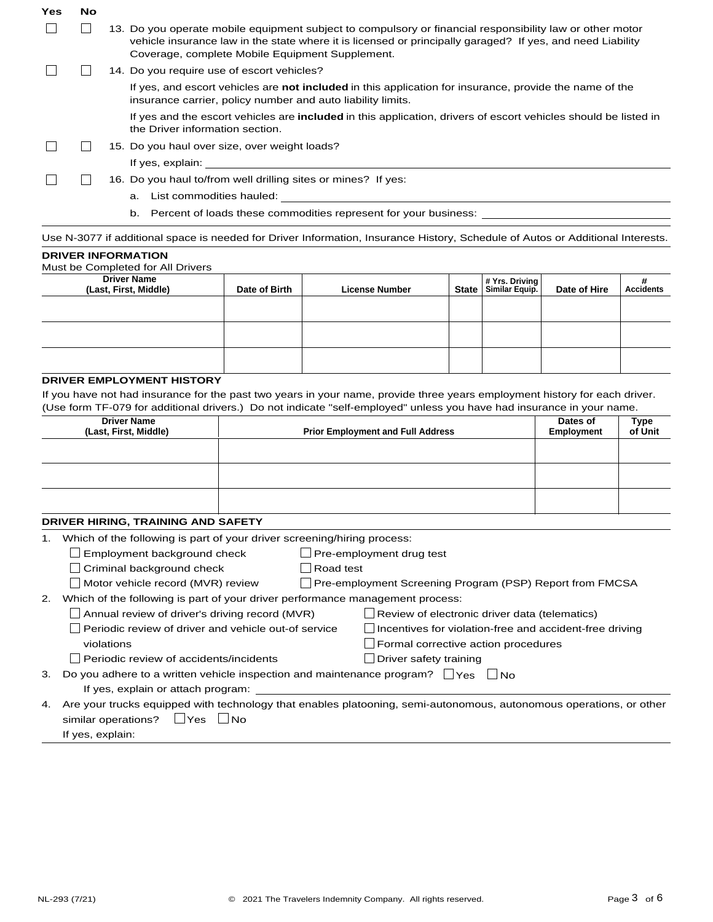| Yes | <b>No</b> |                                                                                                                                                                                                                                                                           |
|-----|-----------|---------------------------------------------------------------------------------------------------------------------------------------------------------------------------------------------------------------------------------------------------------------------------|
|     |           | 13. Do you operate mobile equipment subject to compulsory or financial responsibility law or other motor<br>vehicle insurance law in the state where it is licensed or principally garaged? If yes, and need Liability<br>Coverage, complete Mobile Equipment Supplement. |
|     |           | 14. Do you require use of escort vehicles?                                                                                                                                                                                                                                |
|     |           | If yes, and escort vehicles are not included in this application for insurance, provide the name of the<br>insurance carrier, policy number and auto liability limits.                                                                                                    |
|     |           | If yes and the escort vehicles are <b>included</b> in this application, drivers of escort vehicles should be listed in<br>the Driver information section.                                                                                                                 |
|     |           | 15. Do you haul over size, over weight loads?                                                                                                                                                                                                                             |
|     |           | If yes, explain:                                                                                                                                                                                                                                                          |
|     |           | 16. Do you haul to/from well drilling sites or mines? If yes:                                                                                                                                                                                                             |
|     |           | List commodities hauled:<br>a.                                                                                                                                                                                                                                            |
|     |           | Percent of loads these commodities represent for your business:<br>b.                                                                                                                                                                                                     |
|     |           | Use N-3077 if additional space is needed for Driver Information, Insurance History, Schedule of Autos or Additional Interests.                                                                                                                                            |

## **DRIVER INFORMATION**

Must be Completed for All Drivers

| <b>Driver Name</b><br>(Last, First, Middle) | Date of Birth | <b>License Number</b> | Yrs. Driving # Yrs. Driving \$ | Date of Hire | Ħ<br><b>Accidents</b> |
|---------------------------------------------|---------------|-----------------------|--------------------------------|--------------|-----------------------|
|                                             |               |                       |                                |              |                       |
|                                             |               |                       |                                |              |                       |
|                                             |               |                       |                                |              |                       |

## **DRIVER EMPLOYMENT HISTORY**

If you have not had insurance for the past two years in your name, provide three years employment history for each driver. (Use form TF-079 for additional drivers.) Do not indicate "self-employed" unless you have had insurance in your name.

| <b>Driver Name</b><br>(Last, First, Middle) | <b>Prior Employment and Full Address</b> | Dates of<br>Employment | Type<br>of Unit |
|---------------------------------------------|------------------------------------------|------------------------|-----------------|
|                                             |                                          |                        |                 |
|                                             |                                          |                        |                 |
|                                             |                                          |                        |                 |

## **DRIVER HIRING, TRAINING AND SAFETY**

1. Which of the following is part of your driver screening/hiring

|    | vinion of the following is part of your driver screening/hiring process:                       |           |                                                                 |
|----|------------------------------------------------------------------------------------------------|-----------|-----------------------------------------------------------------|
|    | Employment background check                                                                    |           | $\Box$ Pre-employment drug test                                 |
|    | Criminal background check                                                                      | Road test |                                                                 |
|    | Motor vehicle record (MVR) review                                                              |           | $\Box$ Pre-employment Screening Program (PSP) Report from FMCSA |
| 2. | Which of the following is part of your driver performance management process:                  |           |                                                                 |
|    | Annual review of driver's driving record (MVR)                                                 |           | $\Box$ Review of electronic driver data (telematics)            |
|    | Periodic review of driver and vehicle out-of service                                           |           | $\Box$ Incentives for violation-free and accident-free driving  |
|    | violations                                                                                     |           | $\Box$ Formal corrective action procedures                      |
|    | Periodic review of accidents/incidents                                                         |           | Driver safety training                                          |
|    | 3. Do you adhere to a written vehicle inspection and maintenance program? $\Box$ Yes $\Box$ No |           |                                                                 |
|    | If yes, explain or attach program:                                                             |           |                                                                 |

similar operations?  $\quad \Box$  Yes  $\quad \Box$  No 4. Are your trucks equipped with technology that enables platooning, semi-autonomous, autonomous operations, or other If yes, explain: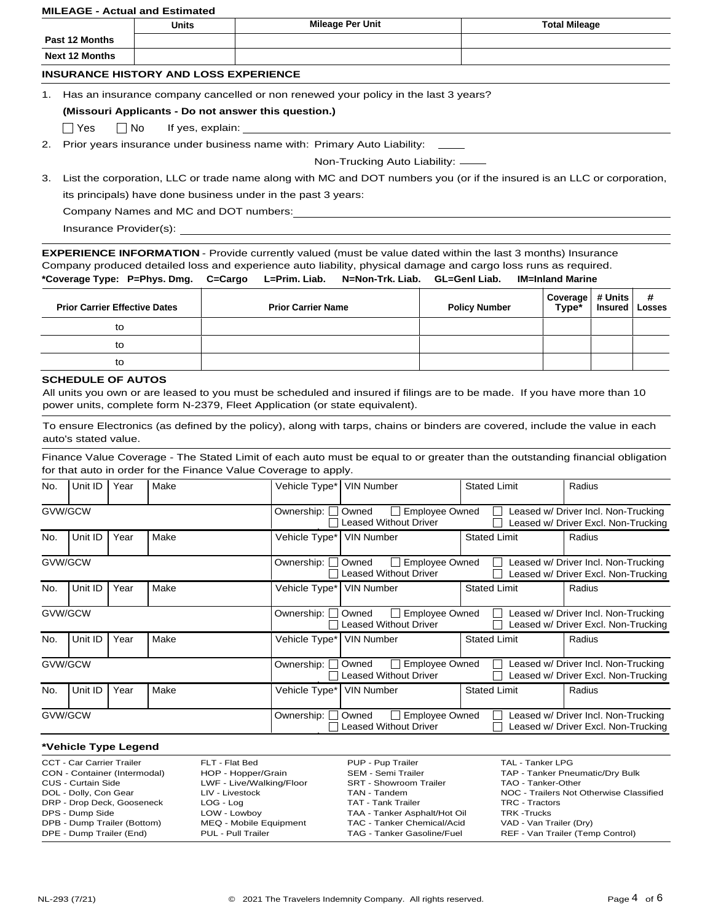#### **MILEAGE - Actual and Estimated**

|                       |                                              | <b>Units</b>                                         | <b>Mileage Per Unit</b>                                                            | <b>Total Mileage</b> |  |  |  |  |  |  |
|-----------------------|----------------------------------------------|------------------------------------------------------|------------------------------------------------------------------------------------|----------------------|--|--|--|--|--|--|
|                       | Past 12 Months                               |                                                      |                                                                                    |                      |  |  |  |  |  |  |
| <b>Next 12 Months</b> |                                              |                                                      |                                                                                    |                      |  |  |  |  |  |  |
|                       | <b>INSURANCE HISTORY AND LOSS EXPERIENCE</b> |                                                      |                                                                                    |                      |  |  |  |  |  |  |
| 1.                    |                                              |                                                      | Has an insurance company cancelled or non renewed your policy in the last 3 years? |                      |  |  |  |  |  |  |
|                       |                                              | (Missouri Applicants - Do not answer this question.) |                                                                                    |                      |  |  |  |  |  |  |
|                       | □ Yes      No                                | If yes, explain:                                     |                                                                                    |                      |  |  |  |  |  |  |
| 2.                    |                                              |                                                      | Prior years insurance under business name with: Primary Auto Liability: _____      |                      |  |  |  |  |  |  |
|                       |                                              |                                                      | Non-Trucking Auto Liability: _____                                                 |                      |  |  |  |  |  |  |

3. List the corporation, LLC or trade name along with MC and DOT numbers you (or if the insured is an LLC or corporation, its principals) have done business under in the past 3 years:

Company Names and MC and DOT numbers:

Insurance Provider(s):

**\*Coverage Type: P=Phys. Dmg. C=Cargo L=Prim. Liab. N=Non-Trk. Liab. GL=Genl Liab. IM=Inland Marine EXPERIENCE INFORMATION** - Provide currently valued (must be value dated within the last 3 months) Insurance Company produced detailed loss and experience auto liability, physical damage and cargo loss runs as required.

| <b>Prior Carrier Effective Dates</b> | <b>Prior Carrier Name</b> | <b>Policy Number</b> | $\left \begin{array}{cc} \text{Coverage} \\ \text{Type*} \end{array}\right $ # Units $\left \begin{array}{cc} \text{#} \\ \text{Losses} \end{array}\right $ |  |
|--------------------------------------|---------------------------|----------------------|-------------------------------------------------------------------------------------------------------------------------------------------------------------|--|
| to                                   |                           |                      |                                                                                                                                                             |  |
| to                                   |                           |                      |                                                                                                                                                             |  |
| to                                   |                           |                      |                                                                                                                                                             |  |

## **SCHEDULE OF AUTOS**

All units you own or are leased to you must be scheduled and insured if filings are to be made. If you have more than 10 power units, complete form N-2379, Fleet Application (or state equivalent).

To ensure Electronics (as defined by the policy), along with tarps, chains or binders are covered, include the value in each auto's stated value.

Finance Value Coverage - The Stated Limit of each auto must be equal to or greater than the outstanding financial obligation for that auto in order for the Finance Value Coverage to apply.

| No.                                                                              | Unit ID | Year | Make | Vehicle Type*                                                              | <b>VIN Number</b>                                                                | <b>Stated Limit</b> | Radius                                                                     |  |
|----------------------------------------------------------------------------------|---------|------|------|----------------------------------------------------------------------------|----------------------------------------------------------------------------------|---------------------|----------------------------------------------------------------------------|--|
| GVW/GCW                                                                          |         |      |      | Ownership:                                                                 | Employee Owned<br>Owned<br><b>Leased Without Driver</b>                          |                     | Leased w/ Driver Incl. Non-Trucking<br>Leased w/ Driver Excl. Non-Trucking |  |
| No.                                                                              | Unit ID | Year | Make | Vehicle Type*                                                              | <b>VIN Number</b>                                                                | <b>Stated Limit</b> | Radius                                                                     |  |
| GVW/GCW<br>Employee Owned<br>Ownership:<br>Owned<br><b>Leased Without Driver</b> |         |      |      | Leased w/ Driver Incl. Non-Trucking<br>Leased w/ Driver Excl. Non-Trucking |                                                                                  |                     |                                                                            |  |
| No.                                                                              | Unit ID | Year | Make | Vehicle Type*                                                              | <b>VIN Number</b>                                                                | <b>Stated Limit</b> | Radius                                                                     |  |
| GVW/GCW                                                                          |         |      |      | Ownership:                                                                 | Owned<br><b>Employee Owned</b><br>$\blacksquare$<br><b>Leased Without Driver</b> |                     | Leased w/ Driver Incl. Non-Trucking<br>Leased w/ Driver Excl. Non-Trucking |  |
| No.                                                                              | Unit ID | Year | Make | Vehicle Type*                                                              | <b>VIN Number</b>                                                                | <b>Stated Limit</b> | Radius                                                                     |  |
| GVW/GCW                                                                          |         |      |      | Ownership:                                                                 | <b>Employee Owned</b><br>Owned<br>Leased Without Driver                          |                     | Leased w/ Driver Incl. Non-Trucking<br>Leased w/ Driver Excl. Non-Trucking |  |
| No.                                                                              | Unit ID | Year | Make | Vehicle Type*                                                              | <b>VIN Number</b>                                                                | <b>Stated Limit</b> | Radius                                                                     |  |
| GVW/GCW                                                                          |         |      |      | Ownership:                                                                 | Owned<br><b>Employee Owned</b><br><b>Leased Without Driver</b>                   |                     | Leased w/ Driver Incl. Non-Trucking<br>Leased w/ Driver Excl. Non-Trucking |  |

# **\*Vehicle Type Legend**

| CCT - Car Carrier Trailer    | FLT - Flat Bed           | PUP - Pup Trailer             | TAL - Tanker LPG                        |
|------------------------------|--------------------------|-------------------------------|-----------------------------------------|
| CON - Container (Intermodal) | HOP - Hopper/Grain       | SEM - Semi Trailer            | TAP - Tanker Pneumatic/Dry Bulk         |
| CUS - Curtain Side           | LWF - Live/Walking/Floor | <b>SRT - Showroom Trailer</b> | TAO - Tanker-Other                      |
| DOL - Dolly, Con Gear        | LIV - Livestock          | TAN - Tandem                  | NOC - Trailers Not Otherwise Classified |
| DRP - Drop Deck, Gooseneck   | $LOG - Log$              | TAT - Tank Trailer            | TRC - Tractors                          |
| DPS - Dump Side              | LOW - Lowboy             | TAA - Tanker Asphalt/Hot Oil  | <b>TRK-Trucks</b>                       |
| DPB - Dump Trailer (Bottom)  | MEQ - Mobile Equipment   | TAC - Tanker Chemical/Acid    | VAD - Van Trailer (Dry)                 |
| DPE - Dump Trailer (End)     | PUL - Pull Trailer       | TAG - Tanker Gasoline/Fuel    | REF - Van Trailer (Temp Control)        |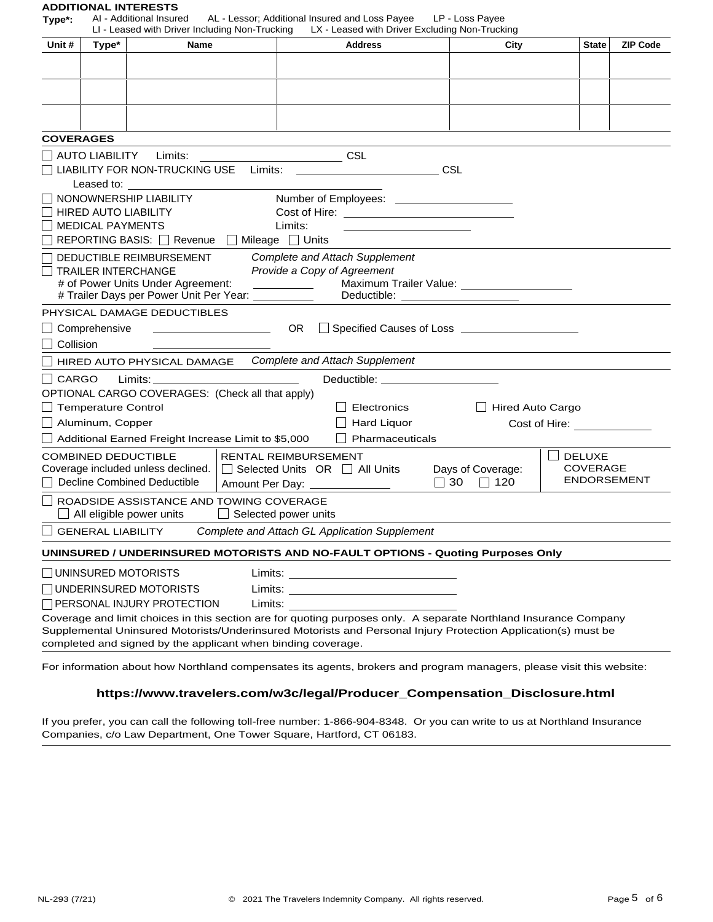# **ADDITIONAL INTERESTS**<br>Type\*: Al - Additional Insured

**Type\*:** AI - Additional Insured AL - Lessor; Additional Insured and Loss Payee LP - Loss Payee

|                  |                                                  | LI - Leased with Driver Including Non-Trucking                                                                                                                                                                                 |                                                  | LX - Leased with Driver Excluding Non-Trucking                                                                                                                                                                                                                                                                                                                                                                                                                                  |                                                                                                                  |                                        |                 |
|------------------|--------------------------------------------------|--------------------------------------------------------------------------------------------------------------------------------------------------------------------------------------------------------------------------------|--------------------------------------------------|---------------------------------------------------------------------------------------------------------------------------------------------------------------------------------------------------------------------------------------------------------------------------------------------------------------------------------------------------------------------------------------------------------------------------------------------------------------------------------|------------------------------------------------------------------------------------------------------------------|----------------------------------------|-----------------|
| Unit #           | Type*                                            | Name                                                                                                                                                                                                                           |                                                  | <b>Address</b>                                                                                                                                                                                                                                                                                                                                                                                                                                                                  | City                                                                                                             | <b>State</b>                           | <b>ZIP Code</b> |
|                  |                                                  |                                                                                                                                                                                                                                |                                                  |                                                                                                                                                                                                                                                                                                                                                                                                                                                                                 |                                                                                                                  |                                        |                 |
|                  |                                                  |                                                                                                                                                                                                                                |                                                  |                                                                                                                                                                                                                                                                                                                                                                                                                                                                                 |                                                                                                                  |                                        |                 |
|                  |                                                  |                                                                                                                                                                                                                                |                                                  |                                                                                                                                                                                                                                                                                                                                                                                                                                                                                 |                                                                                                                  |                                        |                 |
|                  |                                                  |                                                                                                                                                                                                                                |                                                  |                                                                                                                                                                                                                                                                                                                                                                                                                                                                                 |                                                                                                                  |                                        |                 |
| <b>COVERAGES</b> |                                                  |                                                                                                                                                                                                                                |                                                  |                                                                                                                                                                                                                                                                                                                                                                                                                                                                                 |                                                                                                                  |                                        |                 |
|                  |                                                  | AUTO LIABILITY Limits: CSL                                                                                                                                                                                                     |                                                  |                                                                                                                                                                                                                                                                                                                                                                                                                                                                                 |                                                                                                                  |                                        |                 |
|                  |                                                  | LIABILITY FOR NON-TRUCKING USE                                                                                                                                                                                                 | Limits:                                          | $\overline{\phantom{a}}$ $\overline{\phantom{a}}$ $\overline{\phantom{a}}$ $\overline{\phantom{a}}$ $\overline{\phantom{a}}$ $\overline{\phantom{a}}$ $\overline{\phantom{a}}$ $\overline{\phantom{a}}$ $\overline{\phantom{a}}$ $\overline{\phantom{a}}$ $\overline{\phantom{a}}$ $\overline{\phantom{a}}$ $\overline{\phantom{a}}$ $\overline{\phantom{a}}$ $\overline{\phantom{a}}$ $\overline{\phantom{a}}$ $\overline{\phantom{a}}$ $\overline{\phantom{a}}$ $\overline{\$ |                                                                                                                  |                                        |                 |
|                  |                                                  | Leased to: and the state of the state of the state of the state of the state of the state of the state of the state of the state of the state of the state of the state of the state of the state of the state of the state of |                                                  |                                                                                                                                                                                                                                                                                                                                                                                                                                                                                 |                                                                                                                  |                                        |                 |
|                  |                                                  | NONOWNERSHIP LIABILITY                                                                                                                                                                                                         |                                                  |                                                                                                                                                                                                                                                                                                                                                                                                                                                                                 |                                                                                                                  |                                        |                 |
|                  | <b>HIRED AUTO LIABILITY</b>                      |                                                                                                                                                                                                                                |                                                  |                                                                                                                                                                                                                                                                                                                                                                                                                                                                                 |                                                                                                                  |                                        |                 |
|                  | <b>MEDICAL PAYMENTS</b>                          | REPORTING BASIS: □ Revenue □ Mileage □ Units                                                                                                                                                                                   | Limits:                                          |                                                                                                                                                                                                                                                                                                                                                                                                                                                                                 |                                                                                                                  |                                        |                 |
|                  |                                                  | DEDUCTIBLE REIMBURSEMENT                                                                                                                                                                                                       |                                                  | <b>Complete and Attach Supplement</b>                                                                                                                                                                                                                                                                                                                                                                                                                                           |                                                                                                                  |                                        |                 |
|                  |                                                  | <b>TRAILER INTERCHANGE</b>                                                                                                                                                                                                     |                                                  | Provide a Copy of Agreement                                                                                                                                                                                                                                                                                                                                                                                                                                                     |                                                                                                                  |                                        |                 |
|                  |                                                  | # of Power Units Under Agreement:                                                                                                                                                                                              |                                                  |                                                                                                                                                                                                                                                                                                                                                                                                                                                                                 | Maximum Trailer Value: ______________________                                                                    |                                        |                 |
|                  |                                                  | # Trailer Days per Power Unit Per Year:                                                                                                                                                                                        | $\frac{1}{\sqrt{1-\frac{1}{2}}\cdot\frac{1}{2}}$ |                                                                                                                                                                                                                                                                                                                                                                                                                                                                                 |                                                                                                                  |                                        |                 |
|                  |                                                  | PHYSICAL DAMAGE DEDUCTIBLES                                                                                                                                                                                                    |                                                  |                                                                                                                                                                                                                                                                                                                                                                                                                                                                                 |                                                                                                                  |                                        |                 |
|                  | $\Box$ Comprehensive                             |                                                                                                                                                                                                                                | OR                                               |                                                                                                                                                                                                                                                                                                                                                                                                                                                                                 |                                                                                                                  |                                        |                 |
| Collision        |                                                  |                                                                                                                                                                                                                                |                                                  |                                                                                                                                                                                                                                                                                                                                                                                                                                                                                 |                                                                                                                  |                                        |                 |
|                  |                                                  | HIRED AUTO PHYSICAL DAMAGE                                                                                                                                                                                                     |                                                  | <b>Complete and Attach Supplement</b>                                                                                                                                                                                                                                                                                                                                                                                                                                           |                                                                                                                  |                                        |                 |
| CARGO            |                                                  |                                                                                                                                                                                                                                |                                                  | Deductible: ______________________                                                                                                                                                                                                                                                                                                                                                                                                                                              |                                                                                                                  |                                        |                 |
|                  |                                                  | OPTIONAL CARGO COVERAGES: (Check all that apply)                                                                                                                                                                               |                                                  |                                                                                                                                                                                                                                                                                                                                                                                                                                                                                 |                                                                                                                  |                                        |                 |
|                  | □ Temperature Control<br>$\Box$ Aluminum, Copper |                                                                                                                                                                                                                                |                                                  | Electronics<br><b>Hard Liquor</b>                                                                                                                                                                                                                                                                                                                                                                                                                                               | <b>Hired Auto Cargo</b>                                                                                          |                                        |                 |
|                  |                                                  | Additional Earned Freight Increase Limit to \$5,000                                                                                                                                                                            |                                                  | Pharmaceuticals                                                                                                                                                                                                                                                                                                                                                                                                                                                                 |                                                                                                                  | Cost of Hire: The Solid State of Hire: |                 |
|                  |                                                  | <b>COMBINED DEDUCTIBLE</b>                                                                                                                                                                                                     | <b>RENTAL REIMBURSEMENT</b>                      |                                                                                                                                                                                                                                                                                                                                                                                                                                                                                 |                                                                                                                  | <b>DELUXE</b>                          |                 |
|                  |                                                  | Coverage included unless declined.                                                                                                                                                                                             | $\Box$ Selected Units OR $\Box$ All Units        |                                                                                                                                                                                                                                                                                                                                                                                                                                                                                 | Days of Coverage:                                                                                                | <b>COVERAGE</b>                        |                 |
|                  |                                                  | Decline Combined Deductible                                                                                                                                                                                                    | Amount Per Day: _______________                  |                                                                                                                                                                                                                                                                                                                                                                                                                                                                                 | 30<br>$\Box$ 120<br>$\Box$                                                                                       | <b>ENDORSEMENT</b>                     |                 |
|                  |                                                  | ROADSIDE ASSISTANCE AND TOWING COVERAGE                                                                                                                                                                                        |                                                  |                                                                                                                                                                                                                                                                                                                                                                                                                                                                                 |                                                                                                                  |                                        |                 |
|                  |                                                  | All eligible power units                                                                                                                                                                                                       | $\Box$ Selected power units                      |                                                                                                                                                                                                                                                                                                                                                                                                                                                                                 |                                                                                                                  |                                        |                 |
|                  | <b>GENERAL LIABILITY</b>                         |                                                                                                                                                                                                                                |                                                  | Complete and Attach GL Application Supplement                                                                                                                                                                                                                                                                                                                                                                                                                                   |                                                                                                                  |                                        |                 |
|                  |                                                  |                                                                                                                                                                                                                                |                                                  |                                                                                                                                                                                                                                                                                                                                                                                                                                                                                 | UNINSURED / UNDERINSURED MOTORISTS AND NO-FAULT OPTIONS - Quoting Purposes Only                                  |                                        |                 |
|                  |                                                  | $\Box$ UNINSURED MOTORISTS                                                                                                                                                                                                     |                                                  |                                                                                                                                                                                                                                                                                                                                                                                                                                                                                 |                                                                                                                  |                                        |                 |
|                  |                                                  | UNDERINSURED MOTORISTS                                                                                                                                                                                                         |                                                  |                                                                                                                                                                                                                                                                                                                                                                                                                                                                                 |                                                                                                                  |                                        |                 |
|                  |                                                  | $\Box$ PERSONAL INJURY PROTECTION                                                                                                                                                                                              | Limits:                                          |                                                                                                                                                                                                                                                                                                                                                                                                                                                                                 |                                                                                                                  |                                        |                 |
|                  |                                                  |                                                                                                                                                                                                                                |                                                  |                                                                                                                                                                                                                                                                                                                                                                                                                                                                                 | Coverage and limit choices in this section are for quoting purposes only. A separate Northland Insurance Company |                                        |                 |
|                  |                                                  |                                                                                                                                                                                                                                |                                                  |                                                                                                                                                                                                                                                                                                                                                                                                                                                                                 | Supplemental Uninsured Motorists/Underinsured Motorists and Personal Injury Protection Application(s) must be    |                                        |                 |
|                  |                                                  | completed and signed by the applicant when binding coverage.                                                                                                                                                                   |                                                  |                                                                                                                                                                                                                                                                                                                                                                                                                                                                                 |                                                                                                                  |                                        |                 |

For information about how Northland compensates its agents, brokers and program managers, please visit this website:

# **https://www.travelers.com/w3c/legal/Producer\_Compensation\_Disclosure.html**

If you prefer, you can call the following toll-free number: 1-866-904-8348. Or you can write to us at Northland Insurance Companies, c/o Law Department, One Tower Square, Hartford, CT 06183.